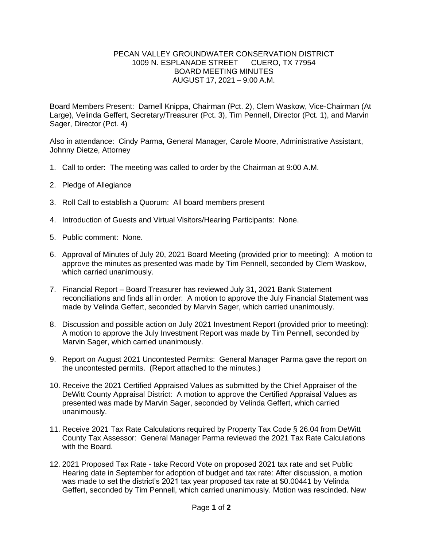## PECAN VALLEY GROUNDWATER CONSERVATION DISTRICT 1009 N. ESPLANADE STREET CUERO, TX 77954 BOARD MEETING MINUTES AUGUST 17, 2021 – 9:00 A.M.

Board Members Present: Darnell Knippa, Chairman (Pct. 2), Clem Waskow, Vice-Chairman (At Large), Velinda Geffert, Secretary/Treasurer (Pct. 3), Tim Pennell, Director (Pct. 1), and Marvin Sager, Director (Pct. 4)

Also in attendance: Cindy Parma, General Manager, Carole Moore, Administrative Assistant, Johnny Dietze, Attorney

- 1. Call to order: The meeting was called to order by the Chairman at 9:00 A.M.
- 2. Pledge of Allegiance
- 3. Roll Call to establish a Quorum: All board members present
- 4. Introduction of Guests and Virtual Visitors/Hearing Participants: None.
- 5. Public comment: None.
- 6. Approval of Minutes of July 20, 2021 Board Meeting (provided prior to meeting): A motion to approve the minutes as presented was made by Tim Pennell, seconded by Clem Waskow, which carried unanimously.
- 7. Financial Report Board Treasurer has reviewed July 31, 2021 Bank Statement reconciliations and finds all in order: A motion to approve the July Financial Statement was made by Velinda Geffert, seconded by Marvin Sager, which carried unanimously.
- 8. Discussion and possible action on July 2021 Investment Report (provided prior to meeting): A motion to approve the July Investment Report was made by Tim Pennell, seconded by Marvin Sager, which carried unanimously.
- 9. Report on August 2021 Uncontested Permits: General Manager Parma gave the report on the uncontested permits. (Report attached to the minutes.)
- 10. Receive the 2021 Certified Appraised Values as submitted by the Chief Appraiser of the DeWitt County Appraisal District: A motion to approve the Certified Appraisal Values as presented was made by Marvin Sager, seconded by Velinda Geffert, which carried unanimously.
- 11. Receive 2021 Tax Rate Calculations required by Property Tax Code § 26.04 from DeWitt County Tax Assessor: General Manager Parma reviewed the 2021 Tax Rate Calculations with the Board.
- 12. 2021 Proposed Tax Rate take Record Vote on proposed 2021 tax rate and set Public Hearing date in September for adoption of budget and tax rate: After discussion, a motion was made to set the district's 2021 tax year proposed tax rate at \$0.00441 by Velinda Geffert, seconded by Tim Pennell, which carried unanimously. Motion was rescinded. New